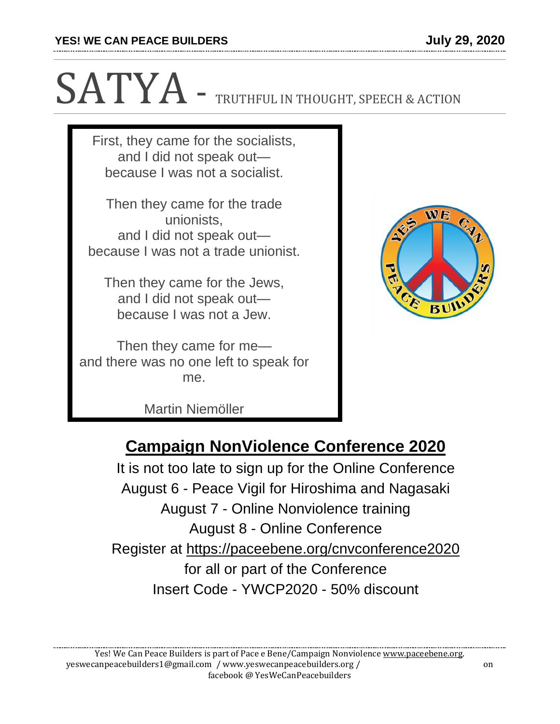# SATYA - TRUTHFUL IN THOUGHT, SPEECH & ACTION

First, they came for the socialists, and I did not speak out because I was not a socialist.

Then they came for the trade unionists, and I did not speak out because I was not a trade unionist.

Then they came for the Jews, and I did not speak out because I was not a Jew.

Then they came for me and there was no one left to speak for me.



Martin Niemöller

## **Campaign NonViolence Conference 2020**

It is not too late to sign up for the Online Conference August 6 - Peace Vigil for Hiroshima and Nagasaki August 7 - Online Nonviolence training August 8 - Online Conference Register at <https://paceebene.org/cnvconference2020> for all or part of the Conference Insert Code - YWCP2020 - 50% discount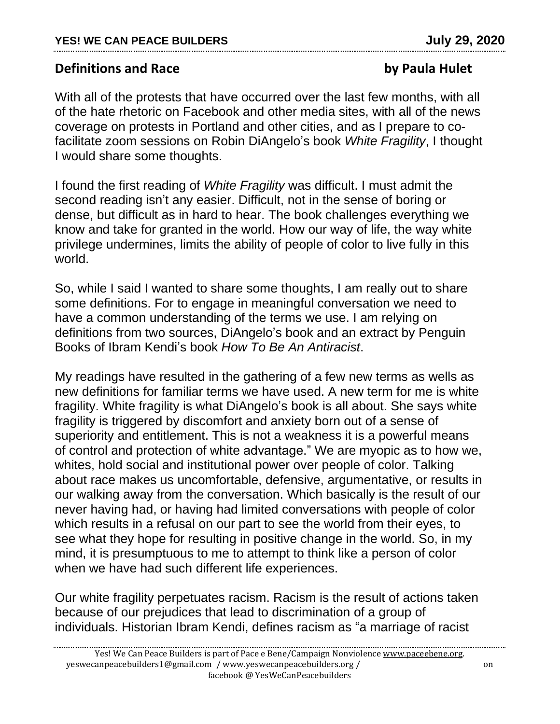### **Definitions and Race by Paula Hulet**

With all of the protests that have occurred over the last few months, with all of the hate rhetoric on Facebook and other media sites, with all of the news coverage on protests in Portland and other cities, and as I prepare to cofacilitate zoom sessions on Robin DiAngelo's book *White Fragility*, I thought I would share some thoughts.

I found the first reading of *White Fragility* was difficult. I must admit the second reading isn't any easier. Difficult, not in the sense of boring or dense, but difficult as in hard to hear. The book challenges everything we know and take for granted in the world. How our way of life, the way white privilege undermines, limits the ability of people of color to live fully in this world.

So, while I said I wanted to share some thoughts, I am really out to share some definitions. For to engage in meaningful conversation we need to have a common understanding of the terms we use. I am relying on definitions from two sources, DiAngelo's book and an extract by Penguin Books of Ibram Kendi's book *How To Be An Antiracist*.

My readings have resulted in the gathering of a few new terms as wells as new definitions for familiar terms we have used. A new term for me is white fragility. White fragility is what DiAngelo's book is all about. She says white fragility is triggered by discomfort and anxiety born out of a sense of superiority and entitlement. This is not a weakness it is a powerful means of control and protection of white advantage." We are myopic as to how we, whites, hold social and institutional power over people of color. Talking about race makes us uncomfortable, defensive, argumentative, or results in our walking away from the conversation. Which basically is the result of our never having had, or having had limited conversations with people of color which results in a refusal on our part to see the world from their eyes, to see what they hope for resulting in positive change in the world. So, in my mind, it is presumptuous to me to attempt to think like a person of color when we have had such different life experiences.

Our white fragility perpetuates racism. Racism is the result of actions taken because of our prejudices that lead to discrimination of a group of individuals. Historian Ibram Kendi, defines racism as "a marriage of racist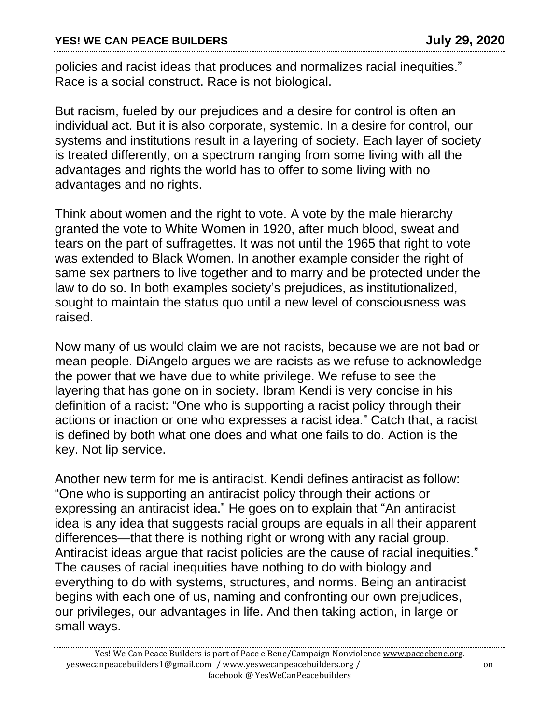#### **YES! WE CAN PEACE BUILDERS July 29, 2020**

policies and racist ideas that produces and normalizes racial inequities." Race is a social construct. Race is not biological.

But racism, fueled by our prejudices and a desire for control is often an individual act. But it is also corporate, systemic. In a desire for control, our systems and institutions result in a layering of society. Each layer of society is treated differently, on a spectrum ranging from some living with all the advantages and rights the world has to offer to some living with no advantages and no rights.

Think about women and the right to vote. A vote by the male hierarchy granted the vote to White Women in 1920, after much blood, sweat and tears on the part of suffragettes. It was not until the 1965 that right to vote was extended to Black Women. In another example consider the right of same sex partners to live together and to marry and be protected under the law to do so. In both examples society's prejudices, as institutionalized, sought to maintain the status quo until a new level of consciousness was raised.

Now many of us would claim we are not racists, because we are not bad or mean people. DiAngelo argues we are racists as we refuse to acknowledge the power that we have due to white privilege. We refuse to see the layering that has gone on in society. Ibram Kendi is very concise in his definition of a racist: "One who is supporting a racist policy through their actions or inaction or one who expresses a racist idea." Catch that, a racist is defined by both what one does and what one fails to do. Action is the key. Not lip service.

Another new term for me is antiracist. Kendi defines antiracist as follow: "One who is supporting an antiracist policy through their actions or expressing an antiracist idea." He goes on to explain that "An antiracist idea is any idea that suggests racial groups are equals in all their apparent differences—that there is nothing right or wrong with any racial group. Antiracist ideas argue that racist policies are the cause of racial inequities." The causes of racial inequities have nothing to do with biology and everything to do with systems, structures, and norms. Being an antiracist begins with each one of us, naming and confronting our own prejudices, our privileges, our advantages in life. And then taking action, in large or small ways.